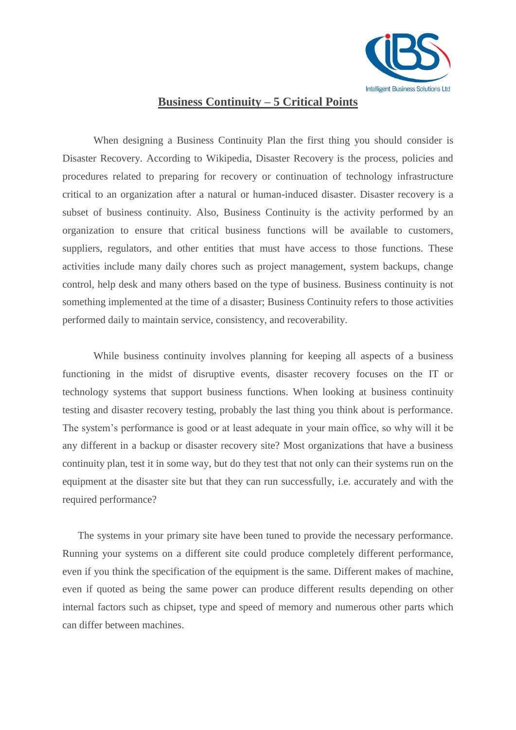

## **Business Continuity – 5 Critical Points**

When designing a Business Continuity Plan the first thing you should consider is Disaster Recovery. According to Wikipedia, Disaster Recovery is the process, policies and procedures related to preparing for recovery or continuation of technology infrastructure critical to an organization after a natural or human-induced disaster. Disaster recovery is a subset of business continuity. Also, Business Continuity is the activity performed by an organization to ensure that critical business functions will be available to customers, suppliers, regulators, and other entities that must have access to those functions. These activities include many daily chores such as project management, system backups, change control, help desk and many others based on the type of business. Business continuity is not something implemented at the time of a disaster; Business Continuity refers to those activities performed daily to maintain service, consistency, and recoverability.

While business continuity involves planning for keeping all aspects of a business functioning in the midst of disruptive events, disaster recovery focuses on the IT or technology systems that support business functions. When looking at [business](http://bookmarks.ks.ua/profile.php/dglennacostau) continuity testing and disaster recovery testing, probably the last thing you think about is performance. The system's performance is good or at least adequate in your main office, so why will it be any different in a backup or disaster recovery site? Most organizations that have a business continuity plan, test it in some way, but do they test that not only can their systems run on the equipment at the disaster site but that they can run successfully, i.e. accurately and with the required performance?

The systems in your primary site have been tuned to provide the necessary performance. Running your systems on a different site could produce completely different performance, even if you think the specification of the equipment is the same. Different makes of machine, even if quoted as being the same power can produce different results depending on other internal factors such as chipset, type and speed of memory and numerous other parts which can differ between machines.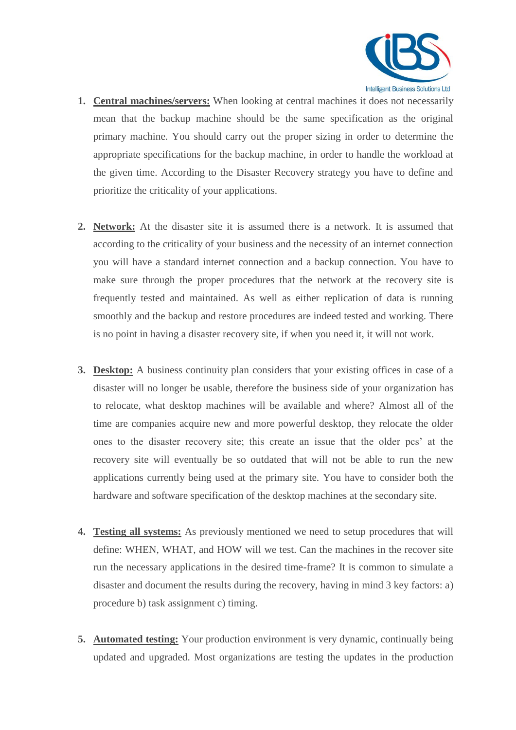

- **1. Central machines/servers:** When looking at central machines it does not necessarily mean that the backup machine should be the same specification as the original primary machine. You should carry out the proper sizing in order to determine the appropriate specifications for the backup machine, in order to handle the workload at the given time. According to the Disaster Recovery strategy you have to define and prioritize the criticality of your applications.
- **2. Network:** At the disaster site it is assumed there is a network. It is assumed that according to the criticality of your business and the necessity of an internet connection you will have a standard internet connection and a backup connection. You have to make sure through the proper procedures that the network at the recovery site is frequently tested and maintained. As well as either replication of data is running smoothly and the backup and restore procedures are indeed tested and working. There is no point in having a disaster recovery site, if when you need it, it will not work.
- **3. Desktop:** A business continuity plan considers that your existing offices in case of a disaster will no longer be usable, therefore the business side of your organization has to relocate, what desktop machines will be available and where? Almost all of the time are companies acquire new and more powerful desktop, they relocate the older ones to the disaster recovery site; this create an issue that the older pcs' at the recovery site will eventually be so outdated that will not be able to run the new applications currently being used at the primary site. You have to consider both the hardware and software specification of the desktop machines at the secondary site.
- **4. Testing all systems:** As previously mentioned we need to setup procedures that will define: WHEN, WHAT, and HOW will we test. Can the machines in the recover site run the necessary applications in the desired time-frame? It is common to simulate a disaster and document the results during the recovery, having in mind 3 key factors: a) procedure b) task assignment c) timing.
- **5. Automated testing:** Your production environment is very dynamic, continually being updated and upgraded. Most organizations are testing the updates in the production